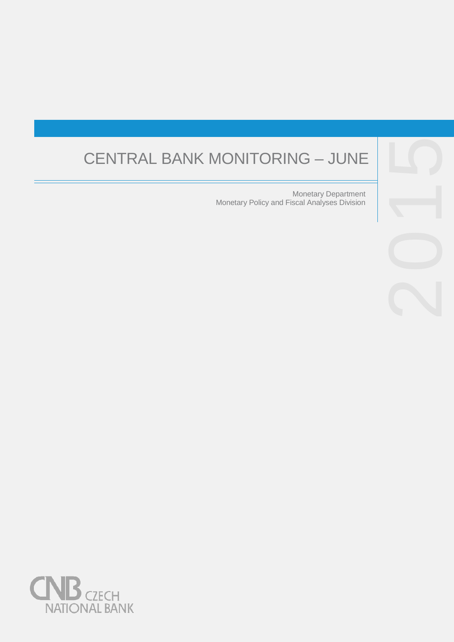# CENTRAL BANK MONITORING

Monetary Department Monetary Policy and Fiscal Analyses Division



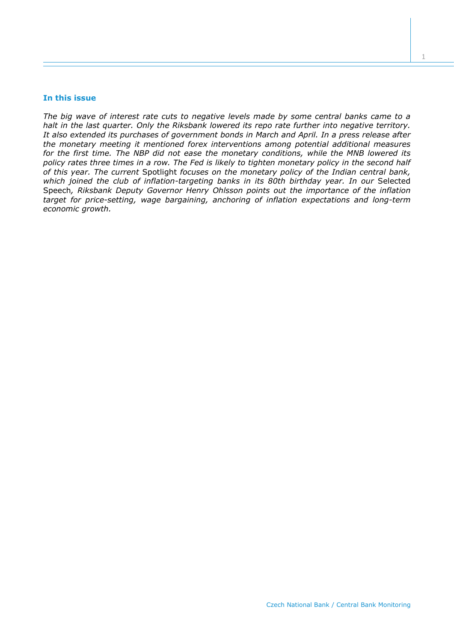## **In this issue**

*The big wave of interest rate cuts to negative levels made by some central banks came to a halt in the last quarter. Only the Riksbank lowered its repo rate further into negative territory. It also extended its purchases of government bonds in March and April. In a press release after the monetary meeting it mentioned forex interventions among potential additional measures for the first time. The NBP did not ease the monetary conditions, while the MNB lowered its policy rates three times in a row. The Fed is likely to tighten monetary policy in the second half of this year. The current* Spotlight *focuses on the monetary policy of the Indian central bank, which joined the club of inflation-targeting banks in its 80th birthday year. In our* Selected Speech*, Riksbank Deputy Governor Henry Ohlsson points out the importance of the inflation target for price-setting, wage bargaining, anchoring of inflation expectations and long-term economic growth.*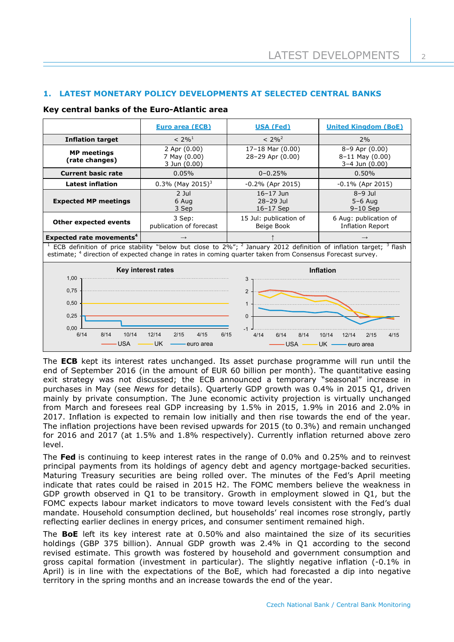# **1. LATEST MONETARY POLICY DEVELOPMENTS AT SELECTED CENTRAL BANKS**

# **Key central banks of the Euro-Atlantic area**

|                                                                                                                                                                                                                                                          | Euro area (ECB)                                  | <b>USA (Fed)</b>                          | <b>United Kingdom (BoE)</b>                             |  |  |
|----------------------------------------------------------------------------------------------------------------------------------------------------------------------------------------------------------------------------------------------------------|--------------------------------------------------|-------------------------------------------|---------------------------------------------------------|--|--|
| <b>Inflation target</b>                                                                                                                                                                                                                                  | $< 2\%$ <sup>1</sup>                             | $< 2\%^{2}$                               | 2%                                                      |  |  |
| <b>MP</b> meetings<br>(rate changes)                                                                                                                                                                                                                     | 2 Apr (0.00)<br>7 May (0.00)<br>3 Jun (0.00)     | 17-18 Mar (0.00)<br>28-29 Apr (0.00)      | 8-9 Apr (0.00)<br>$8-11$ May $(0.00)$<br>3-4 Jun (0.00) |  |  |
| <b>Current basic rate</b>                                                                                                                                                                                                                                | 0.05%                                            | $0 - 0.25%$                               | 0.50%                                                   |  |  |
| <b>Latest inflation</b>                                                                                                                                                                                                                                  | $0.3\%$ (May 2015) <sup>3</sup>                  | $-0.2\%$ (Apr 2015)                       | $-0.1\%$ (Apr 2015)                                     |  |  |
| <b>Expected MP meetings</b>                                                                                                                                                                                                                              | $2$ Jul<br>6 Aug<br>3 Sep                        | $16 - 17$ Jun<br>28-29 Jul<br>$16-17$ Sep | $8-9$ Jul<br>$5-6$ Aug<br>$9-10$ Sep                    |  |  |
| Other expected events                                                                                                                                                                                                                                    | 3 Sep:<br>publication of forecast                | 15 Jul: publication of<br>Beige Book      | 6 Aug: publication of<br><b>Inflation Report</b>        |  |  |
| <b>Expected rate movements<sup>4</sup></b>                                                                                                                                                                                                               | $\longrightarrow$                                |                                           | $\rightarrow$                                           |  |  |
| ECB definition of price stability "below but close to $2\%$ "; <sup>2</sup> January 2012 definition of inflation target; <sup>3</sup> flash<br>estimate; 4 direction of expected change in rates in coming quarter taken from Consensus Forecast survey. |                                                  |                                           |                                                         |  |  |
| Key interest rates<br>1,00                                                                                                                                                                                                                               |                                                  | <b>Inflation</b><br>3                     |                                                         |  |  |
| 0,75<br>0,50                                                                                                                                                                                                                                             |                                                  | $\overline{2}$<br>$\mathbf{1}$            |                                                         |  |  |
| 0,25<br>0.00                                                                                                                                                                                                                                             |                                                  | $\Omega$<br>$-1$                          |                                                         |  |  |
| 10/14<br>8/14<br>6/14<br>USA                                                                                                                                                                                                                             | 12/14<br>2/15<br>4/15<br>6/15<br>UK<br>euro area | 4/14<br>6/14<br>8/14<br><b>USA</b>        | 10/14<br>12/14<br>2/15<br>4/15<br>UK -<br>euro area     |  |  |

The **ECB** kept its interest rates unchanged. Its asset purchase programme will run until the end of September 2016 (in the amount of EUR 60 billion per month). The quantitative easing exit strategy was not discussed; the ECB announced a temporary "seasonal" increase in purchases in May (see *News* for details). Quarterly GDP growth was 0.4% in 2015 Q1, driven mainly by private consumption. The June economic activity projection is virtually unchanged from March and foresees real GDP increasing by 1.5% in 2015, 1.9% in 2016 and 2.0% in 2017. Inflation is expected to remain low initially and then rise towards the end of the year. The inflation projections have been revised upwards for 2015 (to 0.3%) and remain unchanged for 2016 and 2017 (at 1.5% and 1.8% respectively). Currently inflation returned above zero level.

The **Fed** is continuing to keep interest rates in the range of 0.0% and 0.25% and to reinvest principal payments from its holdings of agency debt and agency mortgage-backed securities. Maturing Treasury securities are being rolled over. The minutes of the Fed's April meeting indicate that rates could be raised in 2015 H2. The FOMC members believe the weakness in GDP growth observed in Q1 to be transitory. Growth in employment slowed in Q1, but the FOMC expects labour market indicators to move toward levels consistent with the Fed's dual mandate. Household consumption declined, but households' real incomes rose strongly, partly reflecting earlier declines in energy prices, and consumer sentiment remained high.

The **BoE** left its key interest rate at 0.50% and also maintained the size of its securities holdings (GBP 375 billion). Annual GDP growth was 2.4% in Q1 according to the second revised estimate. This growth was fostered by household and government consumption and gross capital formation (investment in particular). The slightly negative inflation (-0.1% in April) is in line with the expectations of the BoE, which had forecasted a dip into negative territory in the spring months and an increase towards the end of the year.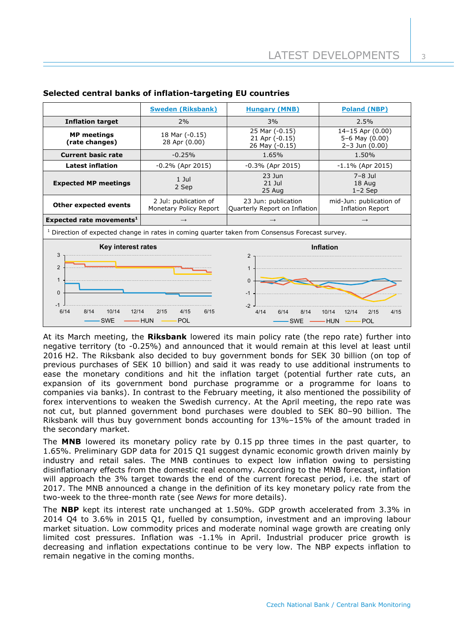|                                                                                                                                                                                                                                                                     | <b>Sweden (Riksbank)</b>                        | <b>Hungary (MNB)</b>                                 | <b>Poland (NBP)</b>                                        |  |
|---------------------------------------------------------------------------------------------------------------------------------------------------------------------------------------------------------------------------------------------------------------------|-------------------------------------------------|------------------------------------------------------|------------------------------------------------------------|--|
| <b>Inflation target</b>                                                                                                                                                                                                                                             | 2%                                              | 3%                                                   | 2.5%                                                       |  |
| <b>MP</b> meetings<br>(rate changes)                                                                                                                                                                                                                                | 18 Mar (-0.15)<br>28 Apr (0.00)                 | 25 Mar (-0.15)<br>21 Apr (-0.15)<br>26 May (-0.15)   | 14-15 Apr (0.00)<br>5-6 May (0.00)<br>$2 - 3$ Jun $(0.00)$ |  |
| <b>Current basic rate</b>                                                                                                                                                                                                                                           | $-0.25%$                                        | 1.65%                                                | 1.50%                                                      |  |
| <b>Latest inflation</b>                                                                                                                                                                                                                                             | $-0.2\%$ (Apr 2015)                             | $-0.3\%$ (Apr 2015)                                  | $-1.1\%$ (Apr 2015)                                        |  |
| <b>Expected MP meetings</b>                                                                                                                                                                                                                                         | $1$ Jul<br>2 Sep                                | $23$ Jun<br>$21$ $1ul$<br>25 Aug                     | $7-8$ Jul<br>18 Aug<br>$1-2$ Sep                           |  |
| Other expected events                                                                                                                                                                                                                                               | 2 Jul: publication of<br>Monetary Policy Report | 23 Jun: publication<br>Quarterly Report on Inflation | mid-Jun: publication of<br><b>Inflation Report</b>         |  |
| Expected rate movements <sup>1</sup>                                                                                                                                                                                                                                | $\rightarrow$                                   | $\rightarrow$                                        | $\rightarrow$                                              |  |
| <sup>1</sup> Direction of expected change in rates in coming quarter taken from Consensus Forecast survey.                                                                                                                                                          |                                                 |                                                      |                                                            |  |
| Key interest rates<br>Inflation<br>3<br>$\overline{2}$<br>2<br>$\mathbf{1}$<br>$\mathbf{1}$<br>$\mathbf{0}$<br>$\Omega$<br>$-1$<br>$-1$<br>$-2$<br>6/14<br>8/14<br>10/14<br>12/14<br>2/15<br>6/15<br>4/15<br>4/14<br>6/14<br>8/14<br>10/14<br>2/15<br>12/14<br>4/15 |                                                 |                                                      |                                                            |  |
| <b>HUN</b><br><b>SWE</b><br><b>POL</b><br><b>SWE</b><br><b>HUN</b><br>POL                                                                                                                                                                                           |                                                 |                                                      |                                                            |  |

# **Selected central banks of inflation-targeting EU countries**

At its March meeting, the **Riksbank** lowered its main policy rate (the repo rate) further into negative territory (to -0.25%) and announced that it would remain at this level at least until 2016 H2. The Riksbank also decided to buy government bonds for SEK 30 billion (on top of previous purchases of SEK 10 billion) and said it was ready to use additional instruments to ease the monetary conditions and hit the inflation target (potential further rate cuts, an expansion of its government bond purchase programme or a programme for loans to companies via banks). In contrast to the February meeting, it also mentioned the possibility of forex interventions to weaken the Swedish currency. At the April meeting, the repo rate was not cut, but planned government bond purchases were doubled to SEK 80–90 billion. The Riksbank will thus buy government bonds accounting for 13%–15% of the amount traded in the secondary market.

The **MNB** lowered its monetary policy rate by 0.15 pp three times in the past quarter, to 1.65%. Preliminary GDP data for 2015 Q1 suggest dynamic economic growth driven mainly by industry and retail sales. The MNB continues to expect low inflation owing to persisting disinflationary effects from the domestic real economy. According to the MNB forecast, inflation will approach the 3% target towards the end of the current forecast period, i.e. the start of 2017. The MNB announced a change in the definition of its key monetary policy rate from the two-week to the three-month rate (see *News* for more details).

The **NBP** kept its interest rate unchanged at 1.50%. GDP growth accelerated from 3.3% in 2014 Q4 to 3.6% in 2015 Q1, fuelled by consumption, investment and an improving labour market situation. Low commodity prices and moderate nominal wage growth are creating only limited cost pressures. Inflation was -1.1% in April. Industrial producer price growth is decreasing and inflation expectations continue to be very low. The NBP expects inflation to remain negative in the coming months.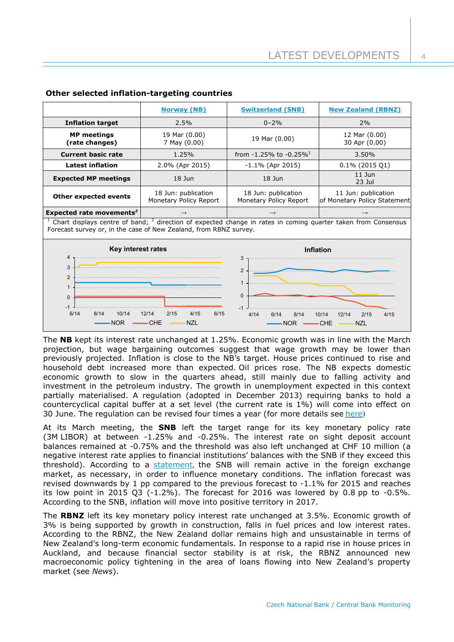|                                      | <b>Norway (NB)</b>                            | <b>Switzerland (SNB)</b>                      | <b>New Zealand (RBNZ)</b>                           |
|--------------------------------------|-----------------------------------------------|-----------------------------------------------|-----------------------------------------------------|
| <b>Inflation target</b>              | 2.5%                                          | $0 - 2\%$                                     | 2%                                                  |
| <b>MP</b> meetings<br>(rate changes) | 19 Mar (0.00)<br>7 May (0.00)                 | 19 Mar (0.00)                                 | 12 Mar (0.00)<br>30 Apr (0.00)                      |
| <b>Current basic rate</b>            | 1.25%                                         | from $-1.25\%$ to $-0.25\%$                   | $3.50\%$                                            |
| <b>Latest inflation</b>              | 2.0% (Apr 2015)                               | $-1.1\%$ (Apr 2015)                           | $0.1\%$ (2015 Q1)                                   |
| <b>Expected MP meetings</b>          | $18$ Jun                                      | $18$ Jun                                      | $11$ Jun<br>$23$ Jul                                |
| Other expected events                | 18 Jun: publication<br>Monetary Policy Report | 18 Jun: publication<br>Monetary Policy Report | 11 Jun: publication<br>of Monetary Policy Statement |
| Expected rate movements <sup>2</sup> | $\longrightarrow$                             | $\rightarrow$                                 | $\rightarrow$                                       |

# **Other selected inflation-targeting countries**

 $1$  Chart displays centre of band;  $2$  direction of expected change in rates in coming quarter taken from Consensus Forecast survey or, in the case of New Zealand, from RBNZ survey.



The **NB** kept its interest rate unchanged at 1.25%. Economic growth was in line with the March projection, but wage bargaining outcomes suggest that wage growth may be lower than previously projected. Inflation is close to the NB's target. House prices continued to rise and household debt increased more than expected. Oil prices rose. The NB expects domestic economic growth to slow in the quarters ahead, still mainly due to falling activity and investment in the petroleum industry. The growth in unemployment expected in this context partially materialised. A regulation (adopted in December 2013) requiring banks to hold a countercyclical capital buffer at a set level (the current rate is 1%) will come into effect on 30 June. The regulation can be revised four times a year (for more details see [here](http://www.norges-bank.no/en/Published/News-archive/2015/Motsyklisk-kapitalbuffer-Q1/))

At its March meeting, the **SNB** left the target range for its key monetary policy rate (3M LIBOR) at between -1.25% and -0.25%. The interest rate on sight deposit account balances remained at -0.75% and the threshold was also left unchanged at CHF 10 million (a negative interest rate applies to financial institutions' balances with the SNB if they exceed this threshold). According to a [statement](http://www.snb.ch/en/mmr/reference/pre_20150319/source/pre_20150319.en.pdf), the SNB will remain active in the foreign exchange market, as necessary, in order to influence monetary conditions. The inflation forecast was revised downwards by 1 pp compared to the previous forecast to -1.1% for 2015 and reaches its low point in 2015 Q3  $(-1.2\%)$ . The forecast for 2016 was lowered by 0.8 pp to  $-0.5\%$ . According to the SNB, inflation will move into positive territory in 2017.

The **RBNZ** left its key monetary policy interest rate unchanged at 3.5%. Economic growth of 3% is being supported by growth in construction, falls in fuel prices and low interest rates. According to the RBNZ, the New Zealand dollar remains high and unsustainable in terms of New Zealand's long-term economic fundamentals. In response to a rapid rise in house prices in Auckland, and because financial sector stability is at risk, the RBNZ announced new macroeconomic policy tightening in the area of loans flowing into New Zealand's property market (see *News*).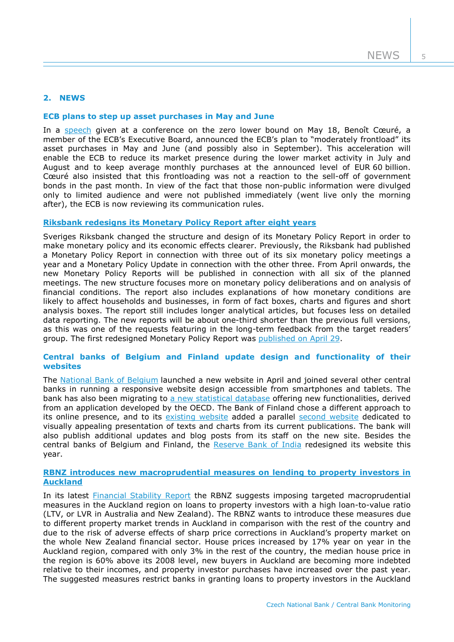# **2. NEWS**

#### **ECB plans to step up asset purchases in May and June**

In a [speech](http://www.ecb.europa.eu/press/key/date/2015/html/sp150519.en.html) given at a conference on the zero lower bound on May 18, Benoît Cœuré, a member of the ECB's Executive Board, announced the ECB's plan to "moderately frontload" its asset purchases in May and June (and possibly also in September). This acceleration will enable the ECB to reduce its market presence during the lower market activity in July and August and to keep average monthly purchases at the announced level of EUR 60 billion. Cœuré also insisted that this frontloading was not a reaction to the sell-off of government bonds in the past month. In view of the fact that those non-public information were divulged only to limited audience and were not published immediately (went live only the morning after), the ECB is now reviewing its communication rules.

#### **[Riksbank redesigns its Monetary Policy Report after eight years](http://www.riksbank.se/en/Press-and-published/Notices/2015/New-design-for-Monetary-Policy-Reports/)**

Sveriges Riksbank changed the structure and design of its Monetary Policy Report in order to make monetary policy and its economic effects clearer. Previously, the Riksbank had published a Monetary Policy Report in connection with three out of its six monetary policy meetings a year and a Monetary Policy Update in connection with the other three. From April onwards, the new Monetary Policy Reports will be published in connection with all six of the planned meetings. The new structure focuses more on monetary policy deliberations and on analysis of financial conditions. The report also includes explanations of how monetary conditions are likely to affect households and businesses, in form of fact boxes, charts and figures and short analysis boxes. The report still includes longer analytical articles, but focuses less on detailed data reporting. The new reports will be about one-third shorter than the previous full versions, as this was one of the requests featuring in the long-term feedback from the target readers' group. The first redesigned Monetary Policy Report was [published on April 29.](http://www.riksbank.se/Documents/Rapporter/PPR/2015/150429/rap_ppr_150429_eng.pdf)

#### **Central banks of Belgium and Finland update design and functionality of their websites**

The [National Bank of Belgium](https://www.nbb.be/en) launched a new website in April and joined several other central banks in running a responsive website design accessible from smartphones and tablets. The bank has also been migrating to [a new statistical database](http://stat.nbb.be/) offering new functionalities, derived from an application developed by the OECD. The Bank of Finland chose a different approach to its online presence, and to its [existing website](http://www.suomenpankki.fi/en/Pages/default.aspx) added a parallel [second website](http://www.bofbulletin.fi/en/home/) dedicated to visually appealing presentation of texts and charts from its current publications. The bank will also publish additional updates and blog posts from its staff on the new site. Besides the central banks of Belgium and Finland, the [Reserve Bank of India](https://www.rbi.org.in/home.aspx) redesigned its website this year.

## **[RBNZ introduces new macroprudential measures on lending to property investors in](http://www.rbnz.govt.nz/news/2015/fsr-13-may-2015.html)  [Auckland](http://www.rbnz.govt.nz/news/2015/fsr-13-may-2015.html)**

In its latest **Financial Stability Report** the RBNZ suggests imposing targeted macroprudential measures in the Auckland region on loans to property investors with a high loan-to-value ratio (LTV, or LVR in Australia and New Zealand). The RBNZ wants to introduce these measures due to different property market trends in Auckland in comparison with the rest of the country and due to the risk of adverse effects of sharp price corrections in Auckland's property market on the whole New Zealand financial sector. House prices increased by 17% year on year in the Auckland region, compared with only 3% in the rest of the country, the median house price in the region is 60% above its 2008 level, new buyers in Auckland are becoming more indebted relative to their incomes, and property investor purchases have increased over the past year. The suggested measures restrict banks in granting loans to property investors in the Auckland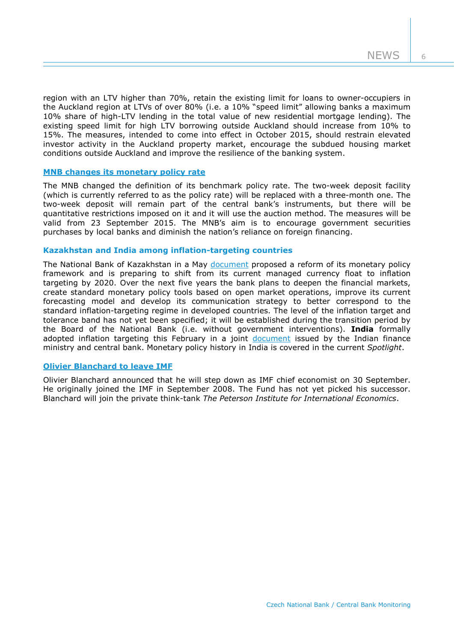region with an LTV higher than 70%, retain the existing limit for loans to owner-occupiers in the Auckland region at LTVs of over 80% (i.e. a 10% "speed limit" allowing banks a maximum 10% share of high-LTV lending in the total value of new residential mortgage lending). The existing speed limit for high LTV borrowing outside Auckland should increase from 10% to 15%. The measures, intended to come into effect in October 2015, should restrain elevated investor activity in the Auckland property market, encourage the subdued housing market conditions outside Auckland and improve the resilience of the banking system.

## **[MNB changes its monetary policy rate](http://english.mnb.hu/mnben_pressroom/press_releases/mnben_pressreleases_2015/mnben_pressreleases_20150602)**

The MNB changed the definition of its benchmark policy rate. The two-week deposit facility (which is currently referred to as the policy rate) will be replaced with a three-month one. The two-week deposit will remain part of the central bank's instruments, but there will be quantitative restrictions imposed on it and it will use the auction method. The measures will be valid from 23 September 2015. The MNB's aim is to encourage government securities purchases by local banks and diminish the nation's reliance on foreign financing.

## **Kazakhstan and India among inflation-targeting countries**

The National Bank of Kazakhstan in a May [document](http://www.nationalbank.kz/cont/publish539582_28009.pdf) proposed a reform of its monetary policy framework and is preparing to shift from its current managed currency float to inflation targeting by 2020. Over the next five years the bank plans to deepen the financial markets, create standard monetary policy tools based on open market operations, improve its current forecasting model and develop its communication strategy to better correspond to the standard inflation-targeting regime in developed countries. The level of the inflation target and tolerance band has not yet been specified; it will be established during the transition period by the Board of the National Bank (i.e. without government interventions). **India** formally adopted inflation targeting this February in a joint [document](http://rbidocs.rbi.org.in/rdocs/content/pdfs/MPFA28022015.pdf) issued by the Indian finance ministry and central bank. Monetary policy history in India is covered in the current *Spotlight*.

#### **[Olivier Blanchard to leave IMF](http://www.imf.org/external/np/sec/pr/2015/pr15219.htm)**

Olivier Blanchard announced that he will step down as IMF chief economist on 30 September. He originally joined the IMF in September 2008. The Fund has not yet picked his successor. Blanchard will join the private think-tank *The Peterson Institute for International Economics*.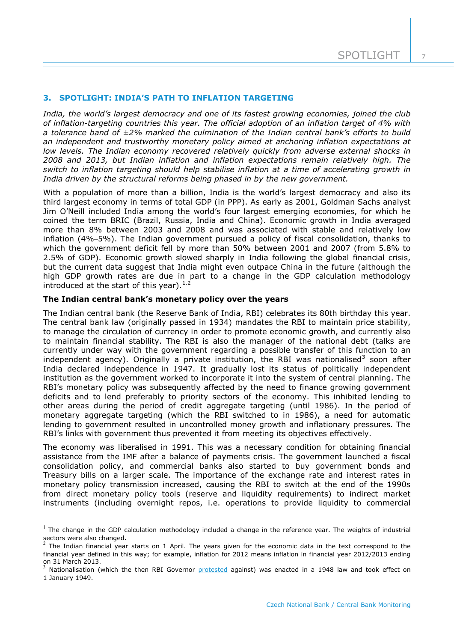## **3. SPOTLIGHT: INDIA'S PATH TO INFLATION TARGETING**

*India, the world's largest democracy and one of its fastest growing economies, joined the club of inflation-targeting countries this year. The official adoption of an inflation target of 4% with a tolerance band of ±2% marked the culmination of the Indian central bank's efforts to build an independent and trustworthy monetary policy aimed at anchoring inflation expectations at low levels. The Indian economy recovered relatively quickly from adverse external shocks in 2008 and 2013, but Indian inflation and inflation expectations remain relatively high. The switch to inflation targeting should help stabilise inflation at a time of accelerating growth in India driven by the structural reforms being phased in by the new government.*

With a population of more than a billion, India is the world's largest democracy and also its third largest economy in terms of total GDP (in PPP). As early as 2001, Goldman Sachs analyst Jim O'Neill included India among the world's four largest emerging economies, for which he coined the term BRIC (Brazil, Russia, India and China). Economic growth in India averaged more than 8% between 2003 and 2008 and was associated with stable and relatively low inflation (4%–5%). The Indian government pursued a policy of fiscal consolidation, thanks to which the government deficit fell by more than 50% between 2001 and 2007 (from 5.8% to 2.5% of GDP). Economic growth slowed sharply in India following the global financial crisis, but the current data suggest that India might even outpace China in the future (although the high GDP growth rates are due in part to a change in the GDP calculation methodology introduced at the start of this year). $1,2$  $1,2$  $1,2$ 

#### **The Indian central bank's monetary policy over the years**

1

The Indian central bank (the Reserve Bank of India, RBI) celebrates its 80th birthday this year. The central bank law (originally passed in 1934) mandates the RBI to maintain price stability, to manage the circulation of currency in order to promote economic growth, and currently also to maintain financial stability. The RBI is also the manager of the national debt (talks are currently under way with the government regarding a possible transfer of this function to an independent agency). Originally a private institution, the RBI was nationalised<sup>[3](#page-7-2)</sup> soon after India declared independence in 1947. It gradually lost its status of politically independent institution as the government worked to incorporate it into the system of central planning. The RBI's monetary policy was subsequently affected by the need to finance growing government deficits and to lend preferably to priority sectors of the economy. This inhibited lending to other areas during the period of credit aggregate targeting (until 1986). In the period of monetary aggregate targeting (which the RBI switched to in 1986), a need for automatic lending to government resulted in uncontrolled money growth and inflationary pressures. The RBI's links with government thus prevented it from meeting its objectives effectively.

The economy was liberalised in 1991. This was a necessary condition for obtaining financial assistance from the IMF after a balance of payments crisis. The government launched a fiscal consolidation policy, and commercial banks also started to buy government bonds and Treasury bills on a larger scale. The importance of the exchange rate and interest rates in monetary policy transmission increased, causing the RBI to switch at the end of the 1990s from direct monetary policy tools (reserve and liquidity requirements) to indirect market instruments (including overnight repos, i.e. operations to provide liquidity to commercial

<span id="page-7-0"></span> $1$  The change in the GDP calculation methodology included a change in the reference year. The weights of industrial sectors were also changed.

<span id="page-7-1"></span><sup>2</sup> The Indian financial year starts on 1 April. The years given for the economic data in the text correspond to the financial year defined in this way; for example, inflation for 2012 means inflation in financial year 2012/2013 ending

<span id="page-7-2"></span>Nationalisation (which the then RBI Governor [protested](https://www.rbi.org.in/scripts/brief_national.aspx) against) was enacted in a 1948 law and took effect on 1 January 1949.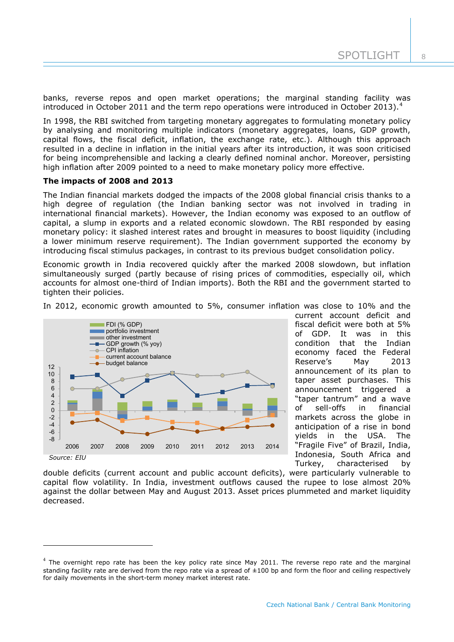banks, reverse repos and open market operations; the marginal standing facility was introduced in October 2011 and the term repo operations were introduced in October 2013).<sup>[4](#page-8-0)</sup>

In 1998, the RBI switched from targeting monetary aggregates to formulating monetary policy by analysing and monitoring multiple indicators (monetary aggregates, loans, GDP growth, capital flows, the fiscal deficit, inflation, the exchange rate, etc.). Although this approach resulted in a decline in inflation in the initial years after its introduction, it was soon criticised for being incomprehensible and lacking a clearly defined nominal anchor. Moreover, persisting high inflation after 2009 pointed to a need to make monetary policy more effective.

#### **The impacts of 2008 and 2013**

1

The Indian financial markets dodged the impacts of the 2008 global financial crisis thanks to a high degree of regulation (the Indian banking sector was not involved in trading in international financial markets). However, the Indian economy was exposed to an outflow of capital, a slump in exports and a related economic slowdown. The RBI responded by easing monetary policy: it slashed interest rates and brought in measures to boost liquidity (including a lower minimum reserve requirement). The Indian government supported the economy by introducing fiscal stimulus packages, in contrast to its previous budget consolidation policy.

Economic growth in India recovered quickly after the marked 2008 slowdown, but inflation simultaneously surged (partly because of rising prices of commodities, especially oil, which accounts for almost one-third of Indian imports). Both the RBI and the government started to tighten their policies.



In 2012, economic growth amounted to 5%, consumer inflation was close to 10% and the

current account deficit and fiscal deficit were both at 5% of GDP. It was in this condition that the Indian economy faced the Federal Reserve's May 2013 announcement of its plan to taper asset purchases. This announcement triggered a "taper tantrum" and a wave of sell-offs in financial markets across the globe in anticipation of a rise in bond yields in the USA. The "Fragile Five" of Brazil, India, Indonesia, South Africa and Turkey, characterised by

double deficits (current account and public account deficits), were particularly vulnerable to capital flow volatility. In India, investment outflows caused the rupee to lose almost 20% against the dollar between May and August 2013. Asset prices plummeted and market liquidity decreased.

<span id="page-8-0"></span> $4$  The overnight repo rate has been the key policy rate since May 2011. The reverse repo rate and the marginal standing facility rate are derived from the repo rate via a spread of  $\pm 100$  bp and form the floor and ceiling respectively for daily movements in the short-term money market interest rate.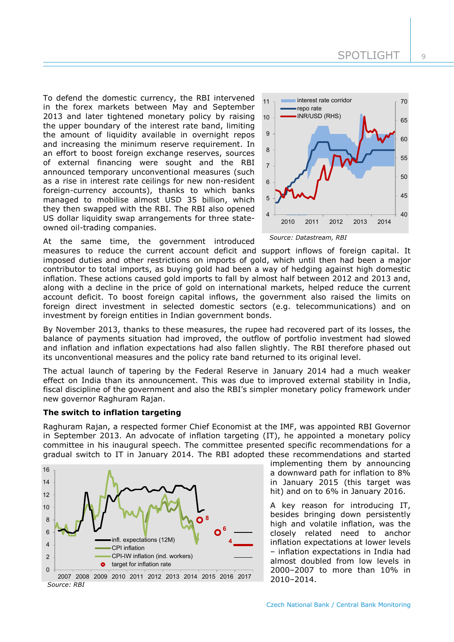To defend the domestic currency, the RBI intervened in the forex markets between May and September 2013 and later tightened monetary policy by raising the upper boundary of the interest rate band, limiting the amount of liquidity available in overnight repos and increasing the minimum reserve requirement. In an effort to boost foreign exchange reserves, sources of external financing were sought and the RBI announced temporary unconventional measures (such as a rise in interest rate ceilings for new non-resident foreign-currency accounts), thanks to which banks managed to mobilise almost USD 35 billion, which they then swapped with the RBI. The RBI also opened US dollar liquidity swap arrangements for three stateowned oil-trading companies.

At the same time, the government introduced



*Source: Datastream, RBI*

measures to reduce the current account deficit and support inflows of foreign capital. It imposed duties and other restrictions on imports of gold, which until then had been a major contributor to total imports, as buying gold had been a way of hedging against high domestic inflation. These actions caused gold imports to fall by almost half between 2012 and 2013 and, along with a decline in the price of gold on international markets, helped reduce the current account deficit. To boost foreign capital inflows, the government also raised the limits on foreign direct investment in selected domestic sectors (e.g. telecommunications) and on investment by foreign entities in Indian government bonds.

By November 2013, thanks to these measures, the rupee had recovered part of its losses, the balance of payments situation had improved, the outflow of portfolio investment had slowed and inflation and inflation expectations had also fallen slightly. The RBI therefore phased out its unconventional measures and the policy rate band returned to its original level.

The actual launch of tapering by the Federal Reserve in January 2014 had a much weaker effect on India than its announcement. This was due to improved external stability in India, fiscal discipline of the government and also the RBI's simpler monetary policy framework under new governor Raghuram Rajan.

## **The switch to inflation targeting**

Raghuram Rajan, a respected former Chief Economist at the IMF, was appointed RBI Governor in September 2013. An advocate of inflation targeting (IT), he appointed a monetary policy committee in his inaugural speech. The committee presented specific recommendations for a gradual switch to IT in January 2014. The RBI adopted these recommendations and started



*Source: RBI* 2007 2008 2009 2010 2011 2012 2013 2014 2015 2016 2017 implementing them by announcing a downward path for inflation to 8% in January 2015 (this target was hit) and on to 6% in January 2016.

A key reason for introducing IT, besides bringing down persistently high and volatile inflation, was the closely related need to anchor inflation expectations at lower levels – inflation expectations in India had almost doubled from low levels in 2000–2007 to more than 10% in 2010–2014.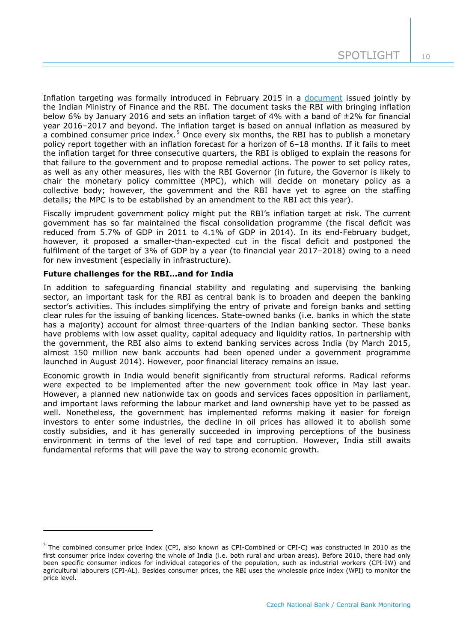Inflation targeting was formally introduced in February 2015 in a [document](http://finmin.nic.in/reports/MPFAgreement28022015.pdf) issued jointly by the Indian Ministry of Finance and the RBI. The document tasks the RBI with bringing inflation below 6% by January 2016 and sets an inflation target of 4% with a band of  $\pm 2\%$  for financial year 2016–2017 and beyond. The inflation target is based on annual inflation as measured by a combined consumer price index.<sup>[5](#page-10-0)</sup> Once every six months, the RBI has to publish a monetary policy report together with an inflation forecast for a horizon of 6–18 months. If it fails to meet the inflation target for three consecutive quarters, the RBI is obliged to explain the reasons for that failure to the government and to propose remedial actions. The power to set policy rates, as well as any other measures, lies with the RBI Governor (in future, the Governor is likely to chair the monetary policy committee (MPC), which will decide on monetary policy as a collective body; however, the government and the RBI have yet to agree on the staffing details; the MPC is to be established by an amendment to the RBI act this year).

Fiscally imprudent government policy might put the RBI's inflation target at risk. The current government has so far maintained the fiscal consolidation programme (the fiscal deficit was reduced from 5.7% of GDP in 2011 to 4.1% of GDP in 2014). In its end-February budget, however, it proposed a smaller-than-expected cut in the fiscal deficit and postponed the fulfilment of the target of 3% of GDP by a year (to financial year 2017–2018) owing to a need for new investment (especially in infrastructure).

#### **Future challenges for the RBI…and for India**

-

In addition to safeguarding financial stability and regulating and supervising the banking sector, an important task for the RBI as central bank is to broaden and deepen the banking sector's activities. This includes simplifying the entry of private and foreign banks and setting clear rules for the issuing of banking licences. State-owned banks (i.e. banks in which the state has a majority) account for almost three-quarters of the Indian banking sector. These banks have problems with low asset quality, capital adequacy and liquidity ratios. In partnership with the government, the RBI also aims to extend banking services across India (by March 2015, almost 150 million new bank accounts had been opened under a government programme launched in August 2014). However, poor financial literacy remains an issue.

Economic growth in India would benefit significantly from structural reforms. Radical reforms were expected to be implemented after the new government took office in May last year. However, a planned new nationwide tax on goods and services faces opposition in parliament, and important laws reforming the labour market and land ownership have yet to be passed as well. Nonetheless, the government has implemented reforms making it easier for foreign investors to enter some industries, the decline in oil prices has allowed it to abolish some costly subsidies, and it has generally succeeded in improving perceptions of the business environment in terms of the level of red tape and corruption. However, India still awaits fundamental reforms that will pave the way to strong economic growth.

<span id="page-10-0"></span> $<sup>5</sup>$  The combined consumer price index (CPI, also known as CPI-Combined or CPI-C) was constructed in 2010 as the</sup> first consumer price index covering the whole of India (i.e. both rural and urban areas). Before 2010, there had only been specific consumer indices for individual categories of the population, such as industrial workers (CPI-IW) and agricultural labourers (CPI-AL). Besides consumer prices, the RBI uses the wholesale price index (WPI) to monitor the price level.